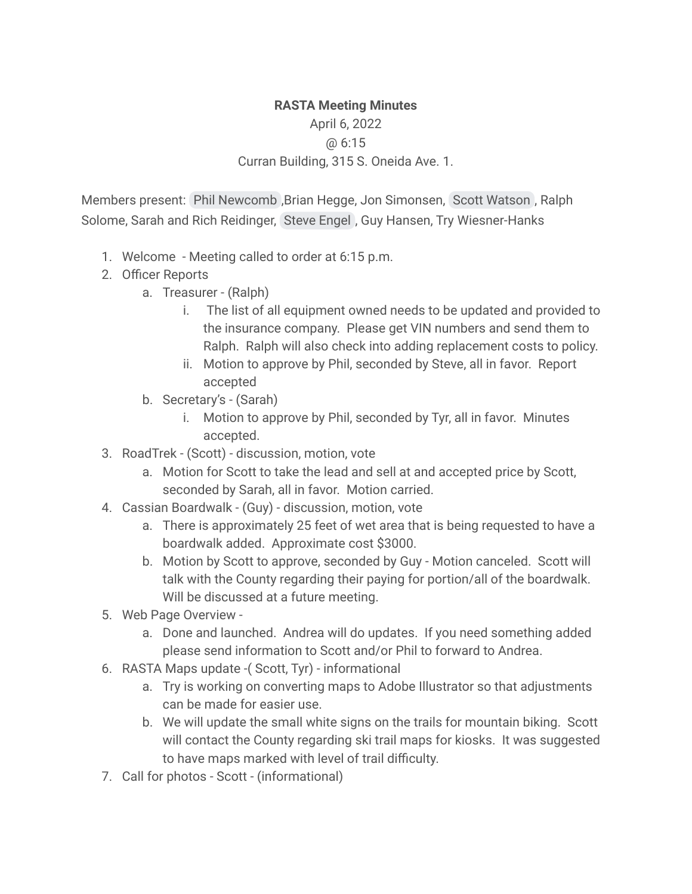## **RASTA Meeting Minutes** April 6, 2022 @ 6:15 Curran Building, 315 S. Oneida Ave. 1.

Members present: Phil [Newcomb](mailto:rx2fish@gmail.com) ,Brian Hegge, Jon Simonsen, Scott [Watson](mailto:watsons@newnorth.net) , Ralph Solome, Sarah and Rich Reidinger, Steve [Engel](mailto:sjebiker@yahoo.com) , Guy Hansen, Try Wiesner-Hanks

- 1. Welcome Meeting called to order at 6:15 p.m.
- 2. Officer Reports
	- a. Treasurer (Ralph)
		- i. The list of all equipment owned needs to be updated and provided to the insurance company. Please get VIN numbers and send them to Ralph. Ralph will also check into adding replacement costs to policy.
		- ii. Motion to approve by Phil, seconded by Steve, all in favor. Report accepted
	- b. Secretary's (Sarah)
		- i. Motion to approve by Phil, seconded by Tyr, all in favor. Minutes accepted.
- 3. RoadTrek (Scott) discussion, motion, vote
	- a. Motion for Scott to take the lead and sell at and accepted price by Scott, seconded by Sarah, all in favor. Motion carried.
- 4. Cassian Boardwalk (Guy) discussion, motion, vote
	- a. There is approximately 25 feet of wet area that is being requested to have a boardwalk added. Approximate cost \$3000.
	- b. Motion by Scott to approve, seconded by Guy Motion canceled. Scott will talk with the County regarding their paying for portion/all of the boardwalk. Will be discussed at a future meeting.
- 5. Web Page Overview
	- a. Done and launched. Andrea will do updates. If you need something added please send information to Scott and/or Phil to forward to Andrea.
- 6. RASTA Maps update -( Scott, Tyr) informational
	- a. Try is working on converting maps to Adobe Illustrator so that adjustments can be made for easier use.
	- b. We will update the small white signs on the trails for mountain biking. Scott will contact the County regarding ski trail maps for kiosks. It was suggested to have maps marked with level of trail difficulty.
- 7. Call for photos Scott (informational)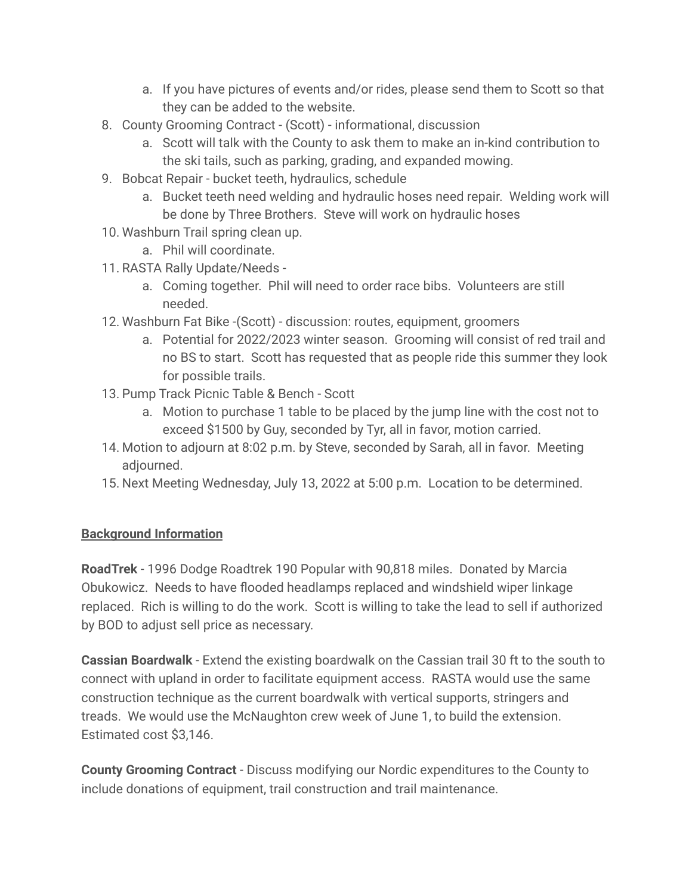- a. If you have pictures of events and/or rides, please send them to Scott so that they can be added to the website.
- 8. County Grooming Contract (Scott) informational, discussion
	- a. Scott will talk with the County to ask them to make an in-kind contribution to the ski tails, such as parking, grading, and expanded mowing.
- 9. Bobcat Repair bucket teeth, hydraulics, schedule
	- a. Bucket teeth need welding and hydraulic hoses need repair. Welding work will be done by Three Brothers. Steve will work on hydraulic hoses
- 10. Washburn Trail spring clean up.
	- a. Phil will coordinate.
- 11. RASTA Rally Update/Needs
	- a. Coming together. Phil will need to order race bibs. Volunteers are still needed.
- 12. Washburn Fat Bike -(Scott) discussion: routes, equipment, groomers
	- a. Potential for 2022/2023 winter season. Grooming will consist of red trail and no BS to start. Scott has requested that as people ride this summer they look for possible trails.
- 13. Pump Track Picnic Table & Bench Scott
	- a. Motion to purchase 1 table to be placed by the jump line with the cost not to exceed \$1500 by Guy, seconded by Tyr, all in favor, motion carried.
- 14. Motion to adjourn at 8:02 p.m. by Steve, seconded by Sarah, all in favor. Meeting adjourned.
- 15. Next Meeting Wednesday, July 13, 2022 at 5:00 p.m. Location to be determined.

## **Background Information**

**RoadTrek** - 1996 Dodge Roadtrek 190 Popular with 90,818 miles. Donated by Marcia Obukowicz. Needs to have flooded headlamps replaced and windshield wiper linkage replaced. Rich is willing to do the work. Scott is willing to take the lead to sell if authorized by BOD to adjust sell price as necessary.

**Cassian Boardwalk** - Extend the existing boardwalk on the Cassian trail 30 ft to the south to connect with upland in order to facilitate equipment access. RASTA would use the same construction technique as the current boardwalk with vertical supports, stringers and treads. We would use the McNaughton crew week of June 1, to build the extension. Estimated cost \$3,146.

**County Grooming Contract** - Discuss modifying our Nordic expenditures to the County to include donations of equipment, trail construction and trail maintenance.